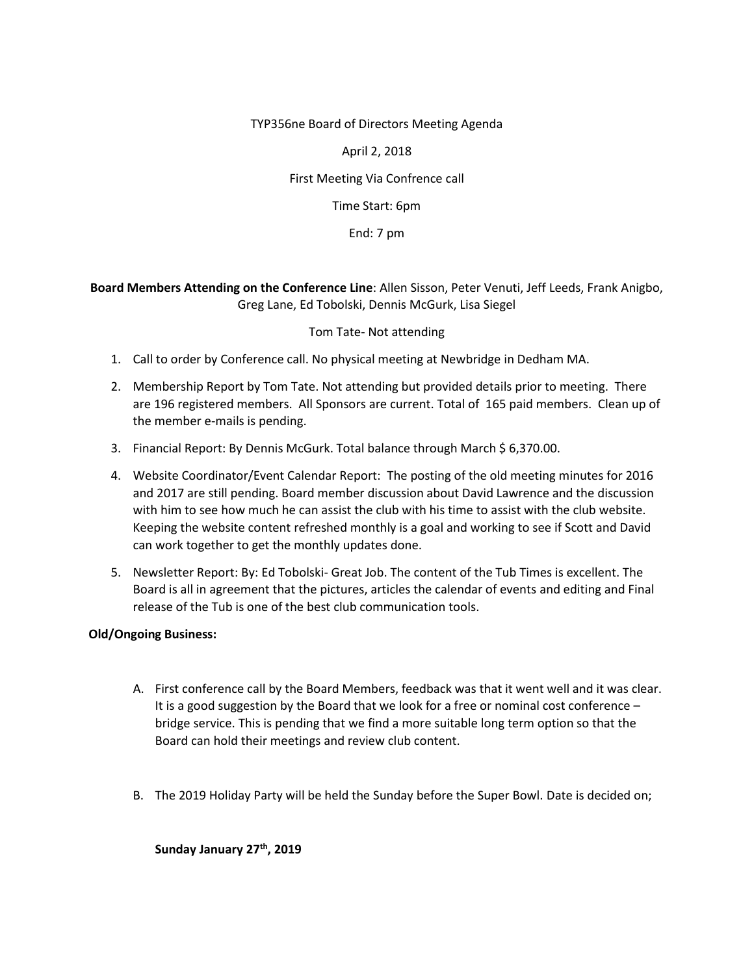## TYP356ne Board of Directors Meeting Agenda

April 2, 2018

First Meeting Via Confrence call

Time Start: 6pm

End: 7 pm

## **Board Members Attending on the Conference Line**: Allen Sisson, Peter Venuti, Jeff Leeds, Frank Anigbo, Greg Lane, Ed Tobolski, Dennis McGurk, Lisa Siegel

Tom Tate- Not attending

- 1. Call to order by Conference call. No physical meeting at Newbridge in Dedham MA.
- 2. Membership Report by Tom Tate. Not attending but provided details prior to meeting. There are 196 registered members. All Sponsors are current. Total of 165 paid members. Clean up of the member e-mails is pending.
- 3. Financial Report: By Dennis McGurk. Total balance through March \$ 6,370.00.
- 4. Website Coordinator/Event Calendar Report: The posting of the old meeting minutes for 2016 and 2017 are still pending. Board member discussion about David Lawrence and the discussion with him to see how much he can assist the club with his time to assist with the club website. Keeping the website content refreshed monthly is a goal and working to see if Scott and David can work together to get the monthly updates done.
- 5. Newsletter Report: By: Ed Tobolski- Great Job. The content of the Tub Times is excellent. The Board is all in agreement that the pictures, articles the calendar of events and editing and Final release of the Tub is one of the best club communication tools.

## **Old/Ongoing Business:**

- A. First conference call by the Board Members, feedback was that it went well and it was clear. It is a good suggestion by the Board that we look for a free or nominal cost conference – bridge service. This is pending that we find a more suitable long term option so that the Board can hold their meetings and review club content.
- B. The 2019 Holiday Party will be held the Sunday before the Super Bowl. Date is decided on;

**Sunday January 27th, 2019**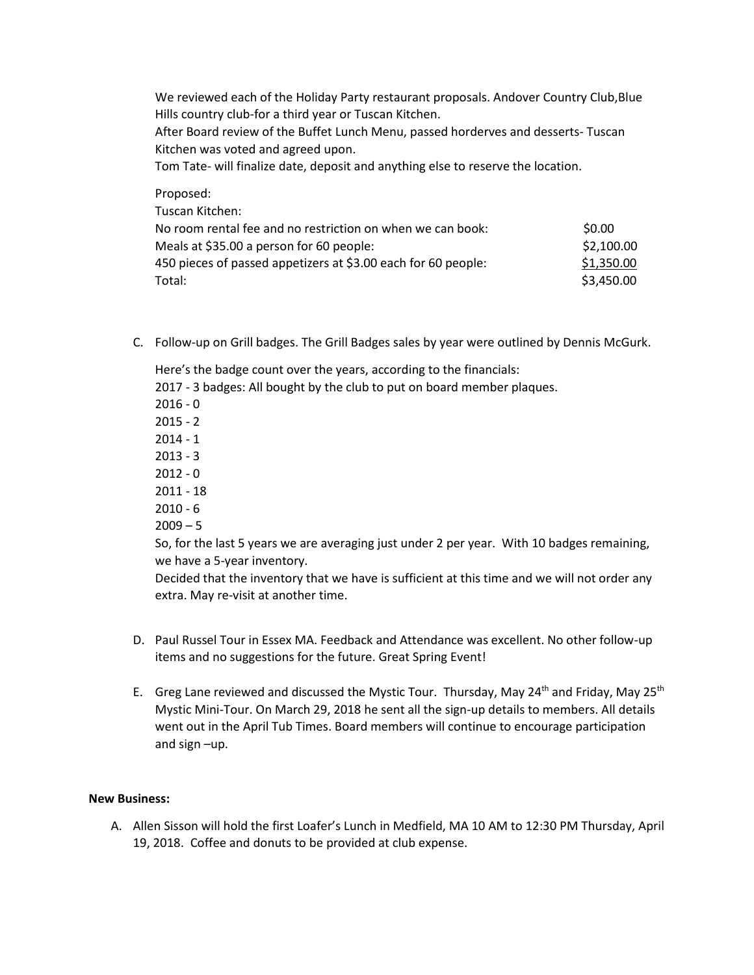We reviewed each of the Holiday Party restaurant proposals. Andover Country Club,Blue Hills country club-for a third year or Tuscan Kitchen.

After Board review of the Buffet Lunch Menu, passed horderves and desserts- Tuscan Kitchen was voted and agreed upon.

Tom Tate- will finalize date, deposit and anything else to reserve the location.

Proposed: Tuscan Kitchen: No room rental fee and no restriction on when we can book:  $\sim$  \$0.00 Meals at \$35.00 a person for 60 people:  $$2,100.00$ 450 pieces of passed appetizers at \$3.00 each for 60 people:  $$1,350.00$ Total: \$3,450.00

C. Follow-up on Grill badges. The Grill Badges sales by year were outlined by Dennis McGurk.

Here's the badge count over the years, according to the financials: 2017 - 3 badges: All bought by the club to put on board member plaques. 2016 - 0 2015 - 2 2014 - 1  $2013 - 3$ 2012 - 0 2011 - 18 2010 - 6  $2009 - 5$ So, for the last 5 years we are averaging just under 2 per year. With 10 badges remaining, we have a 5-year inventory. Decided that the inventory that we have is sufficient at this time and we will not order any

extra. May re-visit at another time.

- D. Paul Russel Tour in Essex MA. Feedback and Attendance was excellent. No other follow-up items and no suggestions for the future. Great Spring Event!
- E. Greg Lane reviewed and discussed the Mystic Tour. Thursday, May 24<sup>th</sup> and Friday, May 25<sup>th</sup> Mystic Mini-Tour. On March 29, 2018 he sent all the sign-up details to members. All details went out in the April Tub Times. Board members will continue to encourage participation and sign –up.

## **New Business:**

A. Allen Sisson will hold the first Loafer's Lunch in Medfield, MA 10 AM to 12:30 PM Thursday, April 19, 2018. Coffee and donuts to be provided at club expense.